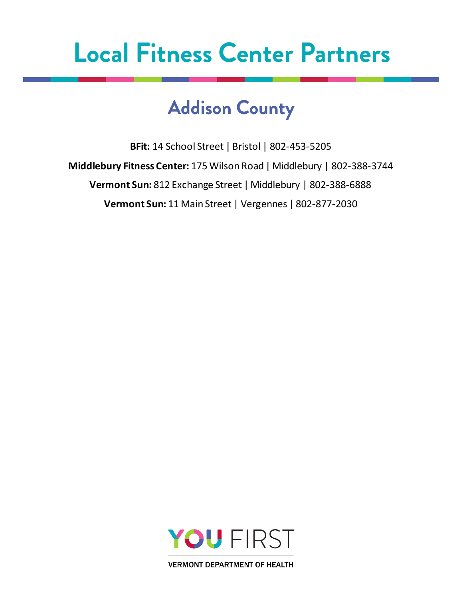### **Addison County**

**BFit:** 14 School Street | Bristol | 802-453-5205 **Middlebury Fitness Center:** 175 Wilson Road | Middlebury | 802-388-3744 **Vermont Sun:** 812 Exchange Street | Middlebury | 802-388-6888 **Vermont Sun:** 11 Main Street | Vergennes | 802-877-2030

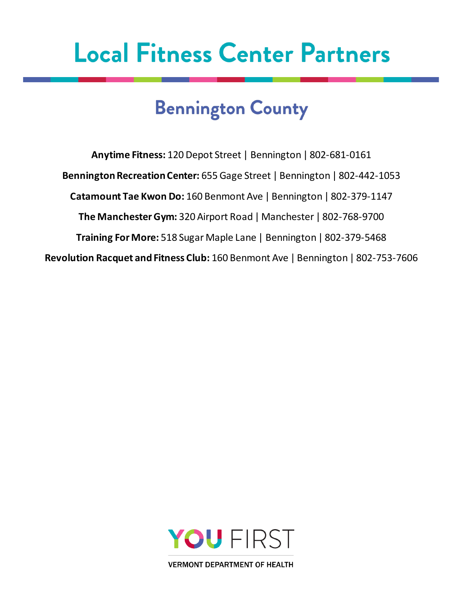## **Bennington County**

**Anytime Fitness:** 120 Depot Street | Bennington | 802-681-0161 **Bennington Recreation Center:** 655 Gage Street | Bennington | 802-442-1053 **Catamount Tae Kwon Do:** 160 Benmont Ave | Bennington | 802-379-1147 **The Manchester Gym:** 320 Airport Road | Manchester | 802-768-9700 **Training For More:** 518 Sugar Maple Lane | Bennington | 802-379-5468 **Revolution Racquet and Fitness Club:** 160 Benmont Ave | Bennington | 802-753-7606

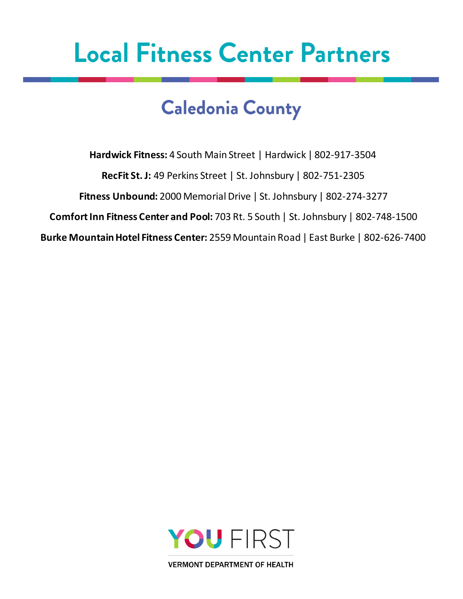### **Caledonia County**

**Hardwick Fitness:** 4 South Main Street | Hardwick | 802-917-3504 **RecFit St. J:** 49 Perkins Street | St. Johnsbury | 802-751-2305 **Fitness Unbound:** 2000 Memorial Drive | St. Johnsbury | 802-274-3277 **Comfort Inn Fitness Center and Pool:** 703 Rt. 5 South | St. Johnsbury | 802-748-1500 **Burke Mountain Hotel Fitness Center:** 2559 Mountain Road | East Burke | 802-626-7400

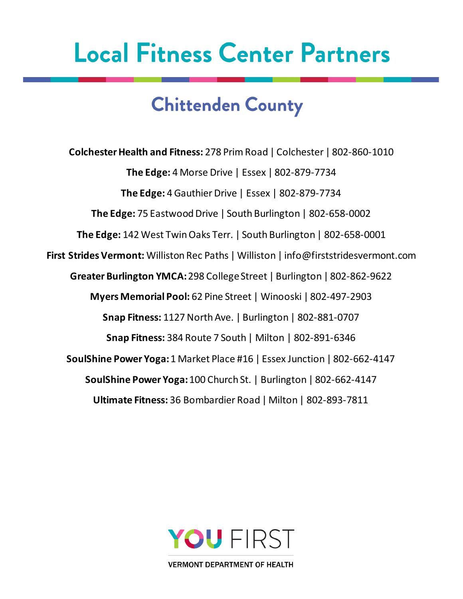### **Chittenden County**

**Colchester Health and Fitness:** 278 Prim Road | Colchester | 802-860-1010 **The Edge:** 4 Morse Drive | Essex | 802-879-7734 **The Edge:** 4 Gauthier Drive | Essex | 802-879-7734 **The Edge:** 75 Eastwood Drive | South Burlington | 802-658-0002 **The Edge:** 142 West Twin Oaks Terr. | South Burlington | 802-658-0001 **First Strides Vermont:** Williston Rec Paths | Williston | [info@firststridesvermont.com](mailto:info@firststridesvermont.com) **Greater Burlington YMCA:** 298 College Street | Burlington | 802-862-9622 **Myers Memorial Pool:** 62 Pine Street | Winooski | 802-497-2903 **Snap Fitness:** 1127 North Ave. | Burlington | 802-881-0707 **Snap Fitness:** 384 Route 7 South | Milton | 802-891-6346 **SoulShine Power Yoga:**1 Market Place #16 | Essex Junction | 802-662-4147 **SoulShine Power Yoga:**100 Church St. | Burlington | 802-662-4147 **Ultimate Fitness:** 36 Bombardier Road | Milton | 802-893-7811

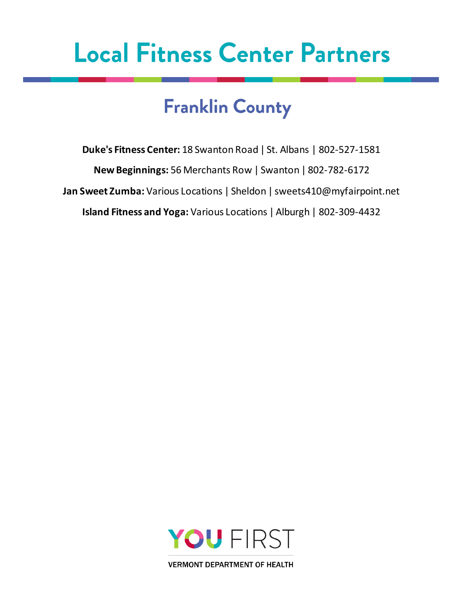## **Franklin County**

**Duke's Fitness Center:** 18 Swanton Road | St. Albans | 802-527-1581 **New Beginnings:** 56 Merchants Row | Swanton | 802-782-6172 **Jan Sweet Zumba:** Various Locations | Sheldon | [sweets410@myfairpoint.net](mailto:sweets410@myfairpoint.net) **Island Fitness and Yoga:** Various Locations | Alburgh | 802-309-4432

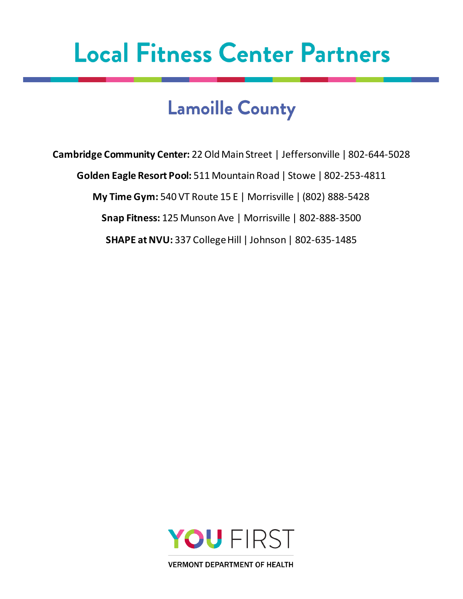### **Lamoille County**

**Cambridge Community Center:** 22 Old Main Street | Jeffersonville | 802-644-5028 **Golden Eagle Resort Pool:** 511 Mountain Road | Stowe | 802-253-4811 **My Time Gym:** 540 VT Route 15 E | Morrisville | (802) 888-5428 **Snap Fitness:** 125 Munson Ave | Morrisville | 802-888-3500 **SHAPE at NVU:** 337 College Hill | Johnson | 802-635-1485

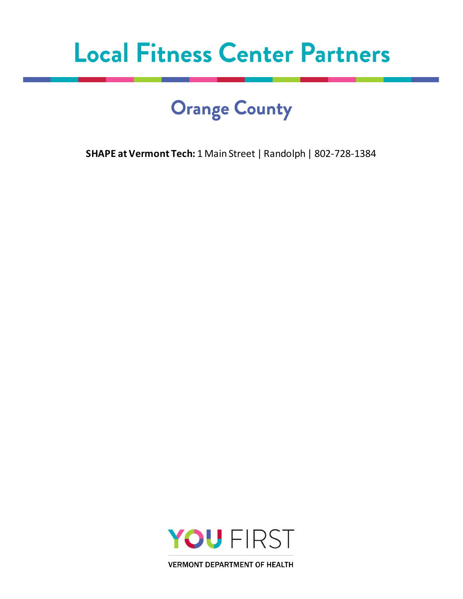## **Orange County**

**SHAPE at Vermont Tech:** 1 Main Street | Randolph | 802-728-1384

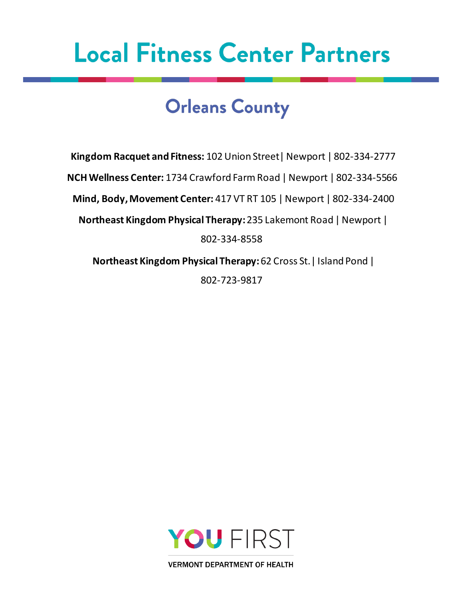#### **Orleans County**

**Kingdom Racquet and Fitness:** 102 Union Street| Newport | 802-334-2777 **NCH Wellness Center:** 1734 Crawford Farm Road | Newport | 802-334-5566 **Mind, Body, Movement Center:** 417 VT RT 105 | Newport | 802-334-2400 **Northeast Kingdom Physical Therapy:** 235 Lakemont Road | Newport | 802-334-8558 **Northeast Kingdom Physical Therapy:** 62 Cross St.| Island Pond |

802-723-9817

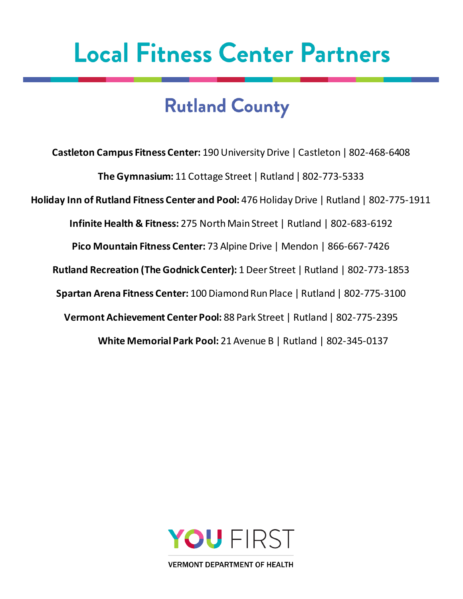## **Rutland County**

**Castleton Campus Fitness Center:** 190 University Drive | Castleton | 802-468-6408 **The Gymnasium:** 11 Cottage Street | Rutland | 802-773-5333 **Holiday Inn of Rutland Fitness Center and Pool:** 476 Holiday Drive | Rutland | 802-775-1911 **Infinite Health & Fitness:** 275 North Main Street | Rutland | 802-683-6192 **Pico Mountain Fitness Center:** 73 Alpine Drive | Mendon | 866-667-7426 **Rutland Recreation (The Godnick Center):** 1 Deer Street | Rutland | 802-773-1853 **Spartan Arena Fitness Center:** 100 Diamond Run Place | Rutland | 802-775-3100 **Vermont Achievement Center Pool:** 88 Park Street | Rutland | 802-775-2395 **White Memorial Park Pool:** 21 Avenue B | Rutland | 802-345-0137

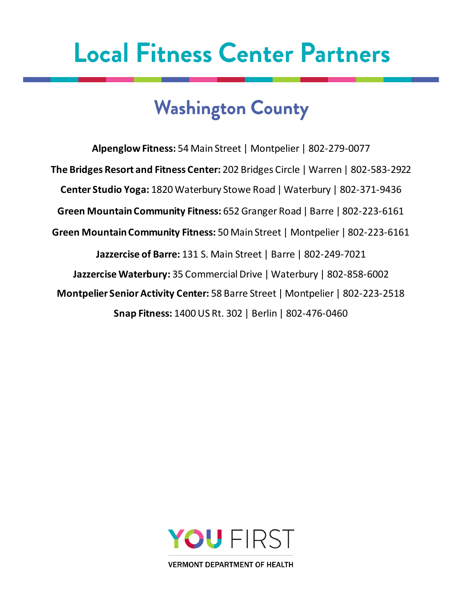## **Washington County**

**AlpenglowFitness:** 54 Main Street | Montpelier | 802-279-0077 **The Bridges Resort and Fitness Center:** 202 Bridges Circle | Warren | 802-583-2922 **Center Studio Yoga:** 1820 Waterbury Stowe Road | Waterbury | 802-371-9436 **Green Mountain Community Fitness:** 652 Granger Road | Barre | 802-223-6161 **Green Mountain Community Fitness:** 50 Main Street | Montpelier | 802-223-6161 **Jazzercise of Barre:** 131 S. Main Street | Barre | 802-249-7021 **Jazzercise Waterbury:** 35 Commercial Drive | Waterbury | 802-858-6002 **Montpelier Senior Activity Center:** 58 Barre Street | Montpelier | 802-223-2518 **Snap Fitness:** 1400 US Rt. 302 | Berlin | 802-476-0460

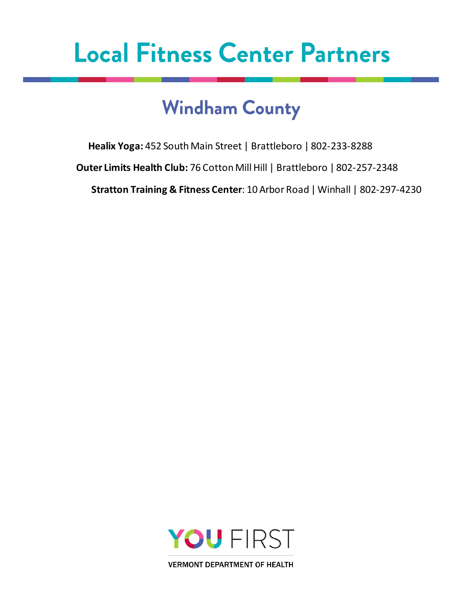## **Windham County**

**Healix Yoga:** 452 South Main Street | Brattleboro | 802-233-8288

**Outer Limits Health Club:** 76 Cotton Mill Hill | Brattleboro | 802-257-2348

**Stratton Training & Fitness Center**: 10 Arbor Road | Winhall | 802-297-4230